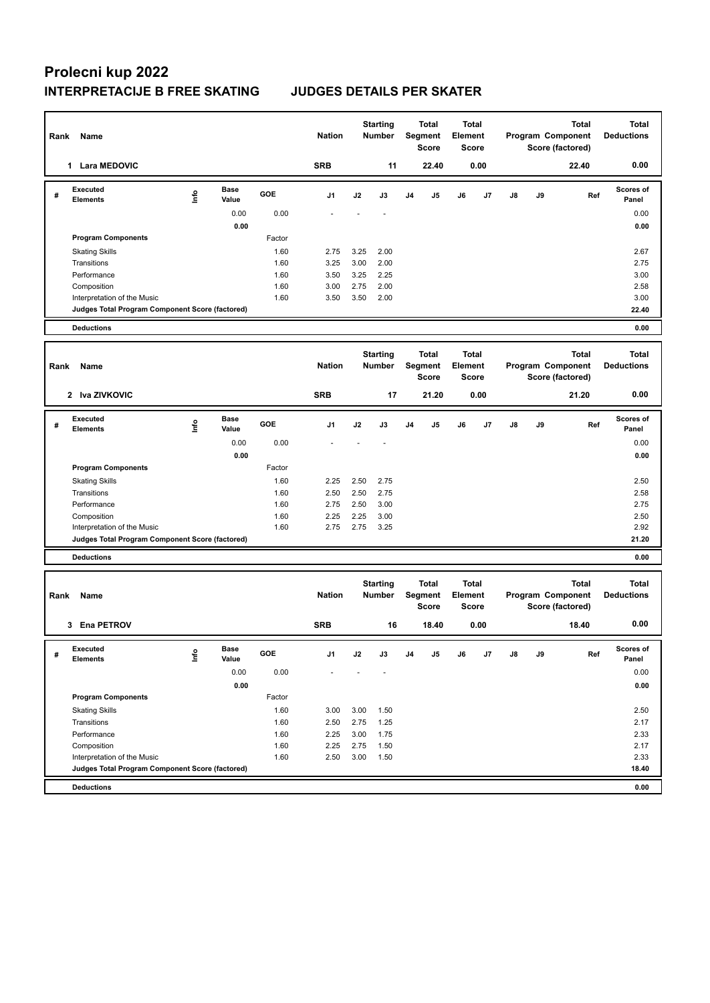| Rank | Name                                                                           |      |                      |        | <b>Nation</b> |      | <b>Starting</b><br><b>Number</b> |                | <b>Total</b><br>Segment<br><b>Score</b> | Total<br><b>Element</b><br>Score        |      |    |                                                       | <b>Total</b><br>Program Component<br>Score (factored) | <b>Total</b><br><b>Deductions</b> |
|------|--------------------------------------------------------------------------------|------|----------------------|--------|---------------|------|----------------------------------|----------------|-----------------------------------------|-----------------------------------------|------|----|-------------------------------------------------------|-------------------------------------------------------|-----------------------------------|
|      | 1 Lara MEDOVIC                                                                 |      |                      |        | <b>SRB</b>    |      | 11                               |                | 22.40                                   |                                         | 0.00 |    |                                                       | 22.40                                                 | 0.00                              |
| #    | <b>Executed</b><br><b>Elements</b>                                             | lnfo | <b>Base</b><br>Value | GOE    | J1            | J2   | J3                               | J <sub>4</sub> | J5                                      | J6                                      | J7   | J8 | J9                                                    | Ref                                                   | <b>Scores of</b><br>Panel         |
|      |                                                                                |      | 0.00                 | 0.00   |               |      |                                  |                |                                         |                                         |      |    |                                                       |                                                       | 0.00                              |
|      |                                                                                |      | 0.00                 |        |               |      |                                  |                |                                         |                                         |      |    |                                                       |                                                       | 0.00                              |
|      | <b>Program Components</b>                                                      |      |                      | Factor |               |      |                                  |                |                                         |                                         |      |    |                                                       |                                                       |                                   |
|      | <b>Skating Skills</b>                                                          |      |                      | 1.60   | 2.75          | 3.25 | 2.00                             |                |                                         |                                         |      |    |                                                       |                                                       | 2.67                              |
|      | Transitions                                                                    |      |                      | 1.60   | 3.25          | 3.00 | 2.00                             |                |                                         |                                         |      |    |                                                       |                                                       | 2.75                              |
|      | Performance                                                                    |      |                      | 1.60   | 3.50          | 3.25 | 2.25                             |                |                                         |                                         |      |    |                                                       |                                                       | 3.00                              |
|      | Composition                                                                    |      |                      | 1.60   | 3.00          | 2.75 | 2.00                             |                |                                         |                                         |      |    |                                                       |                                                       | 2.58                              |
|      | Interpretation of the Music<br>Judges Total Program Component Score (factored) |      |                      | 1.60   | 3.50          | 3.50 | 2.00                             |                |                                         |                                         |      |    |                                                       |                                                       | 3.00<br>22.40                     |
|      | <b>Deductions</b>                                                              |      |                      |        |               |      |                                  |                |                                         |                                         |      |    |                                                       |                                                       | 0.00                              |
|      |                                                                                |      |                      |        |               |      |                                  |                |                                         |                                         |      |    |                                                       |                                                       |                                   |
| Rank | Name                                                                           |      |                      |        | <b>Nation</b> |      | <b>Starting</b><br>Number        |                | Total<br>Segment<br><b>Score</b>        | <b>Total</b><br>Element<br><b>Score</b> |      |    |                                                       | <b>Total</b><br>Program Component<br>Score (factored) | <b>Total</b><br><b>Deductions</b> |
|      | 2 Iva ZIVKOVIC                                                                 |      |                      |        | <b>SRB</b>    |      | 17                               |                | 21.20                                   |                                         | 0.00 |    |                                                       | 21.20                                                 | 0.00                              |
| #    | <b>Executed</b><br><b>Elements</b>                                             | lnfo | <b>Base</b><br>Value | GOE    | J1            | J2   | J3                               | J <sub>4</sub> | J5                                      | J6                                      | J7   | J8 | J9                                                    | Ref                                                   | <b>Scores of</b><br>Panel         |
|      |                                                                                |      | 0.00                 | 0.00   |               |      |                                  |                |                                         |                                         |      |    |                                                       |                                                       | 0.00                              |
|      |                                                                                |      | 0.00                 |        |               |      |                                  |                |                                         |                                         |      |    |                                                       |                                                       | 0.00                              |
|      | <b>Program Components</b>                                                      |      |                      | Factor |               |      |                                  |                |                                         |                                         |      |    |                                                       |                                                       |                                   |
|      | <b>Skating Skills</b>                                                          |      |                      | 1.60   | 2.25          | 2.50 | 2.75                             |                |                                         |                                         |      |    |                                                       |                                                       | 2.50                              |
|      | Transitions                                                                    |      |                      | 1.60   | 2.50          | 2.50 | 2.75                             |                |                                         |                                         |      |    |                                                       |                                                       | 2.58                              |
|      | Performance                                                                    |      |                      | 1.60   | 2.75          | 2.50 | 3.00                             |                |                                         |                                         |      |    |                                                       |                                                       | 2.75                              |
|      | Composition                                                                    |      |                      | 1.60   | 2.25          | 2.25 | 3.00                             |                |                                         |                                         |      |    |                                                       |                                                       | 2.50                              |
|      | Interpretation of the Music                                                    |      |                      | 1.60   | 2.75          | 2.75 | 3.25                             |                |                                         |                                         |      |    |                                                       |                                                       | 2.92<br>21.20                     |
|      | Judges Total Program Component Score (factored)                                |      |                      |        |               |      |                                  |                |                                         |                                         |      |    |                                                       |                                                       |                                   |
|      | <b>Deductions</b>                                                              |      |                      |        |               |      |                                  |                |                                         |                                         |      |    |                                                       |                                                       | 0.00                              |
| Rank | Name                                                                           |      |                      |        | <b>Nation</b> |      | <b>Starting</b><br><b>Number</b> |                | Total<br>Segment<br><b>Score</b>        | Total<br>Element<br><b>Score</b>        |      |    | <b>Total</b><br>Program Component<br>Score (factored) |                                                       | <b>Total</b><br><b>Deductions</b> |
|      | <b>Ena PETROV</b><br>3                                                         |      |                      |        | <b>SRB</b>    |      | 16                               |                | 18.40                                   |                                         | 0.00 |    |                                                       | 18.40                                                 | 0.00                              |
| #    | Executed<br><b>Elements</b>                                                    | ١nf٥ | Base<br>Value        | GOE    | J1            | J2   | J3                               | J4             | J5                                      | J6                                      | J7   | J8 | J9                                                    | Ref                                                   | <b>Scores of</b><br>Panel         |
|      |                                                                                |      | 0.00                 | 0.00   |               |      |                                  |                |                                         |                                         |      |    |                                                       |                                                       | 0.00                              |
|      |                                                                                |      | 0.00                 |        |               |      |                                  |                |                                         |                                         |      |    |                                                       |                                                       | 0.00                              |
|      | <b>Program Components</b>                                                      |      |                      | Factor |               |      |                                  |                |                                         |                                         |      |    |                                                       |                                                       |                                   |
|      | <b>Skating Skills</b>                                                          |      |                      | 1.60   | 3.00          | 3.00 | 1.50                             |                |                                         |                                         |      |    |                                                       |                                                       | 2.50                              |
|      | Transitions                                                                    |      |                      | 1.60   | 2.50          | 2.75 | 1.25                             |                |                                         |                                         |      |    |                                                       |                                                       | 2.17                              |
|      | Performance                                                                    |      |                      | 1.60   | 2.25          | 3.00 | 1.75                             |                |                                         |                                         |      |    |                                                       |                                                       | 2.33                              |
|      | Composition                                                                    |      |                      | 1.60   | 2.25          | 2.75 | 1.50                             |                |                                         |                                         |      |    |                                                       |                                                       | 2.17                              |
|      | Interpretation of the Music                                                    |      |                      | 1.60   | 2.50          | 3.00 | 1.50                             |                |                                         |                                         |      |    |                                                       |                                                       | 2.33                              |
|      | Judges Total Program Component Score (factored)                                |      |                      |        |               |      |                                  |                |                                         |                                         |      |    |                                                       |                                                       | 18.40                             |
|      | <b>Deductions</b>                                                              |      |                      |        |               |      |                                  |                |                                         |                                         |      |    |                                                       |                                                       | 0.00                              |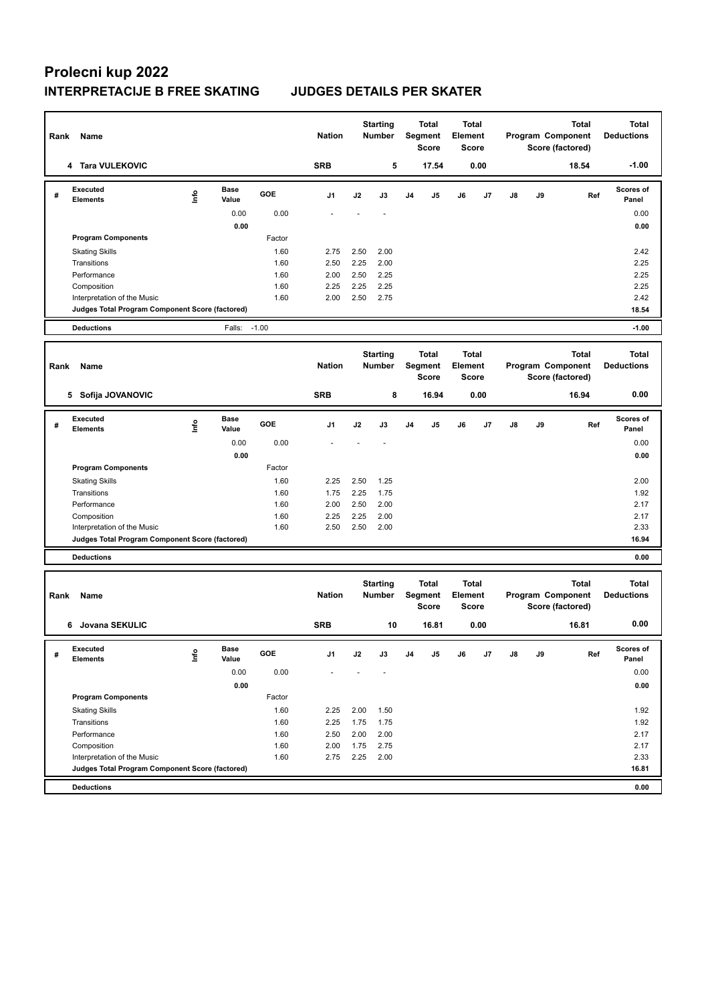| $-1.00$<br><b>SRB</b><br>5<br>4 Tara VULEKOVIC<br>17.54<br>0.00<br>18.54<br><b>Executed</b><br><b>Base</b><br>Scores of<br><u>Info</u><br>GOE<br>J2<br>J3<br>J <sub>4</sub><br>J5<br>J6<br>J7<br>J8<br>J9<br>Ref<br>#<br>J1<br><b>Elements</b><br>Value<br>Panel<br>0.00<br>0.00<br>0.00<br>0.00<br>0.00<br><b>Program Components</b><br>Factor<br>2.42<br><b>Skating Skills</b><br>1.60<br>2.75<br>2.50<br>2.00<br>1.60<br>2.50<br>2.25<br>2.00<br>2.25<br>Transitions<br>2.25<br>2.25<br>Performance<br>1.60<br>2.00<br>2.50<br>1.60<br>2.25<br>2.25<br>2.25<br>2.25<br>Composition<br>1.60<br>2.42<br>2.00<br>2.50<br>2.75<br>Interpretation of the Music<br>18.54<br>Judges Total Program Component Score (factored)<br>Falls: -1.00<br>$-1.00$<br><b>Deductions</b><br><b>Total</b><br><b>Starting</b><br><b>Total</b><br><b>Total</b><br><b>Total</b><br><b>Nation</b><br>Element<br>Program Component<br><b>Deductions</b><br><b>Number</b><br>Segment<br>Rank<br>Name<br>Score<br><b>Score</b><br>Score (factored)<br>0.00<br><b>SRB</b><br>8<br>16.94<br>0.00<br>16.94<br>5 Sofija JOVANOVIC<br><b>Executed</b><br><b>Base</b><br><b>Scores of</b><br>Life<br>GOE<br>J2<br>J3<br>J <sub>4</sub><br>J5<br>J6<br>J7<br>$\mathsf{J}8$<br>J9<br>Ref<br>#<br>J1<br>Value<br><b>Elements</b><br>Panel<br>0.00<br>0.00<br>0.00<br>0.00<br>0.00<br><b>Program Components</b><br>Factor<br>2.50<br>2.00<br><b>Skating Skills</b><br>1.60<br>2.25<br>1.25<br>2.25<br>1.75<br>1.92<br>Transitions<br>1.60<br>1.75<br>1.60<br>2.00<br>2.50<br>2.00<br>2.17<br>Performance<br>2.25<br>2.17<br>Composition<br>1.60<br>2.25<br>2.00<br>1.60<br>2.33<br>Interpretation of the Music<br>2.50<br>2.50<br>2.00<br>Judges Total Program Component Score (factored)<br>16.94<br><b>Deductions</b><br>0.00<br><b>Total</b><br><b>Starting</b><br>Total<br><b>Total</b><br><b>Total</b><br>Segment<br>Element<br>Program Component<br><b>Nation</b><br><b>Number</b><br><b>Deductions</b><br>Rank<br>Name<br>Score<br><b>Score</b><br>Score (factored)<br>0.00<br><b>SRB</b><br>Jovana SEKULIC<br>0.00<br>16.81<br>10<br>16.81<br>6<br>Executed<br>Base<br><b>Scores of</b><br>١nf٥<br>GOE<br>J4<br>J9<br>J1<br>J2<br>J3<br>J5<br>J6<br>J7<br>J8<br>Ref<br>#<br>Value<br>Panel<br><b>Elements</b><br>0.00<br>0.00<br>0.00<br>0.00<br>0.00<br><b>Program Components</b><br>Factor<br>1.60<br>2.25<br>2.00<br>1.50<br>1.92<br><b>Skating Skills</b><br>1.60<br>2.25<br>1.75<br>1.75<br>1.92<br>Transitions<br>1.60<br>2.50<br>2.00<br>2.17<br>Performance<br>2.00<br>Composition<br>1.60<br>2.00<br>1.75<br>2.75<br>2.17<br>1.60<br>2.75<br>2.25<br>2.00<br>2.33<br>Interpretation of the Music<br>16.81 | Name<br>Rank                                    | <b>Nation</b> | <b>Starting</b><br><b>Number</b> | <b>Total</b><br>Segment<br>Score | Element | <b>Total</b><br><b>Score</b> |  | <b>Total</b><br>Program Component<br>Score (factored) | <b>Total</b><br><b>Deductions</b> |
|------------------------------------------------------------------------------------------------------------------------------------------------------------------------------------------------------------------------------------------------------------------------------------------------------------------------------------------------------------------------------------------------------------------------------------------------------------------------------------------------------------------------------------------------------------------------------------------------------------------------------------------------------------------------------------------------------------------------------------------------------------------------------------------------------------------------------------------------------------------------------------------------------------------------------------------------------------------------------------------------------------------------------------------------------------------------------------------------------------------------------------------------------------------------------------------------------------------------------------------------------------------------------------------------------------------------------------------------------------------------------------------------------------------------------------------------------------------------------------------------------------------------------------------------------------------------------------------------------------------------------------------------------------------------------------------------------------------------------------------------------------------------------------------------------------------------------------------------------------------------------------------------------------------------------------------------------------------------------------------------------------------------------------------------------------------------------------------------------------------------------------------------------------------------------------------------------------------------------------------------------------------------------------------------------------------------------------------------------------------------------------------------------------------------------------------------------------------------------------------------------------------------------------------------------------------------------------------------------------------------------------------------------------------------------------------|-------------------------------------------------|---------------|----------------------------------|----------------------------------|---------|------------------------------|--|-------------------------------------------------------|-----------------------------------|
|                                                                                                                                                                                                                                                                                                                                                                                                                                                                                                                                                                                                                                                                                                                                                                                                                                                                                                                                                                                                                                                                                                                                                                                                                                                                                                                                                                                                                                                                                                                                                                                                                                                                                                                                                                                                                                                                                                                                                                                                                                                                                                                                                                                                                                                                                                                                                                                                                                                                                                                                                                                                                                                                                          |                                                 |               |                                  |                                  |         |                              |  |                                                       |                                   |
|                                                                                                                                                                                                                                                                                                                                                                                                                                                                                                                                                                                                                                                                                                                                                                                                                                                                                                                                                                                                                                                                                                                                                                                                                                                                                                                                                                                                                                                                                                                                                                                                                                                                                                                                                                                                                                                                                                                                                                                                                                                                                                                                                                                                                                                                                                                                                                                                                                                                                                                                                                                                                                                                                          |                                                 |               |                                  |                                  |         |                              |  |                                                       |                                   |
|                                                                                                                                                                                                                                                                                                                                                                                                                                                                                                                                                                                                                                                                                                                                                                                                                                                                                                                                                                                                                                                                                                                                                                                                                                                                                                                                                                                                                                                                                                                                                                                                                                                                                                                                                                                                                                                                                                                                                                                                                                                                                                                                                                                                                                                                                                                                                                                                                                                                                                                                                                                                                                                                                          |                                                 |               |                                  |                                  |         |                              |  |                                                       |                                   |
|                                                                                                                                                                                                                                                                                                                                                                                                                                                                                                                                                                                                                                                                                                                                                                                                                                                                                                                                                                                                                                                                                                                                                                                                                                                                                                                                                                                                                                                                                                                                                                                                                                                                                                                                                                                                                                                                                                                                                                                                                                                                                                                                                                                                                                                                                                                                                                                                                                                                                                                                                                                                                                                                                          |                                                 |               |                                  |                                  |         |                              |  |                                                       |                                   |
|                                                                                                                                                                                                                                                                                                                                                                                                                                                                                                                                                                                                                                                                                                                                                                                                                                                                                                                                                                                                                                                                                                                                                                                                                                                                                                                                                                                                                                                                                                                                                                                                                                                                                                                                                                                                                                                                                                                                                                                                                                                                                                                                                                                                                                                                                                                                                                                                                                                                                                                                                                                                                                                                                          |                                                 |               |                                  |                                  |         |                              |  |                                                       |                                   |
|                                                                                                                                                                                                                                                                                                                                                                                                                                                                                                                                                                                                                                                                                                                                                                                                                                                                                                                                                                                                                                                                                                                                                                                                                                                                                                                                                                                                                                                                                                                                                                                                                                                                                                                                                                                                                                                                                                                                                                                                                                                                                                                                                                                                                                                                                                                                                                                                                                                                                                                                                                                                                                                                                          |                                                 |               |                                  |                                  |         |                              |  |                                                       |                                   |
|                                                                                                                                                                                                                                                                                                                                                                                                                                                                                                                                                                                                                                                                                                                                                                                                                                                                                                                                                                                                                                                                                                                                                                                                                                                                                                                                                                                                                                                                                                                                                                                                                                                                                                                                                                                                                                                                                                                                                                                                                                                                                                                                                                                                                                                                                                                                                                                                                                                                                                                                                                                                                                                                                          |                                                 |               |                                  |                                  |         |                              |  |                                                       |                                   |
|                                                                                                                                                                                                                                                                                                                                                                                                                                                                                                                                                                                                                                                                                                                                                                                                                                                                                                                                                                                                                                                                                                                                                                                                                                                                                                                                                                                                                                                                                                                                                                                                                                                                                                                                                                                                                                                                                                                                                                                                                                                                                                                                                                                                                                                                                                                                                                                                                                                                                                                                                                                                                                                                                          |                                                 |               |                                  |                                  |         |                              |  |                                                       |                                   |
|                                                                                                                                                                                                                                                                                                                                                                                                                                                                                                                                                                                                                                                                                                                                                                                                                                                                                                                                                                                                                                                                                                                                                                                                                                                                                                                                                                                                                                                                                                                                                                                                                                                                                                                                                                                                                                                                                                                                                                                                                                                                                                                                                                                                                                                                                                                                                                                                                                                                                                                                                                                                                                                                                          |                                                 |               |                                  |                                  |         |                              |  |                                                       |                                   |
|                                                                                                                                                                                                                                                                                                                                                                                                                                                                                                                                                                                                                                                                                                                                                                                                                                                                                                                                                                                                                                                                                                                                                                                                                                                                                                                                                                                                                                                                                                                                                                                                                                                                                                                                                                                                                                                                                                                                                                                                                                                                                                                                                                                                                                                                                                                                                                                                                                                                                                                                                                                                                                                                                          |                                                 |               |                                  |                                  |         |                              |  |                                                       |                                   |
|                                                                                                                                                                                                                                                                                                                                                                                                                                                                                                                                                                                                                                                                                                                                                                                                                                                                                                                                                                                                                                                                                                                                                                                                                                                                                                                                                                                                                                                                                                                                                                                                                                                                                                                                                                                                                                                                                                                                                                                                                                                                                                                                                                                                                                                                                                                                                                                                                                                                                                                                                                                                                                                                                          |                                                 |               |                                  |                                  |         |                              |  |                                                       |                                   |
|                                                                                                                                                                                                                                                                                                                                                                                                                                                                                                                                                                                                                                                                                                                                                                                                                                                                                                                                                                                                                                                                                                                                                                                                                                                                                                                                                                                                                                                                                                                                                                                                                                                                                                                                                                                                                                                                                                                                                                                                                                                                                                                                                                                                                                                                                                                                                                                                                                                                                                                                                                                                                                                                                          |                                                 |               |                                  |                                  |         |                              |  |                                                       |                                   |
|                                                                                                                                                                                                                                                                                                                                                                                                                                                                                                                                                                                                                                                                                                                                                                                                                                                                                                                                                                                                                                                                                                                                                                                                                                                                                                                                                                                                                                                                                                                                                                                                                                                                                                                                                                                                                                                                                                                                                                                                                                                                                                                                                                                                                                                                                                                                                                                                                                                                                                                                                                                                                                                                                          |                                                 |               |                                  |                                  |         |                              |  |                                                       |                                   |
|                                                                                                                                                                                                                                                                                                                                                                                                                                                                                                                                                                                                                                                                                                                                                                                                                                                                                                                                                                                                                                                                                                                                                                                                                                                                                                                                                                                                                                                                                                                                                                                                                                                                                                                                                                                                                                                                                                                                                                                                                                                                                                                                                                                                                                                                                                                                                                                                                                                                                                                                                                                                                                                                                          |                                                 |               |                                  |                                  |         |                              |  |                                                       |                                   |
|                                                                                                                                                                                                                                                                                                                                                                                                                                                                                                                                                                                                                                                                                                                                                                                                                                                                                                                                                                                                                                                                                                                                                                                                                                                                                                                                                                                                                                                                                                                                                                                                                                                                                                                                                                                                                                                                                                                                                                                                                                                                                                                                                                                                                                                                                                                                                                                                                                                                                                                                                                                                                                                                                          |                                                 |               |                                  |                                  |         |                              |  |                                                       |                                   |
|                                                                                                                                                                                                                                                                                                                                                                                                                                                                                                                                                                                                                                                                                                                                                                                                                                                                                                                                                                                                                                                                                                                                                                                                                                                                                                                                                                                                                                                                                                                                                                                                                                                                                                                                                                                                                                                                                                                                                                                                                                                                                                                                                                                                                                                                                                                                                                                                                                                                                                                                                                                                                                                                                          |                                                 |               |                                  |                                  |         |                              |  |                                                       |                                   |
|                                                                                                                                                                                                                                                                                                                                                                                                                                                                                                                                                                                                                                                                                                                                                                                                                                                                                                                                                                                                                                                                                                                                                                                                                                                                                                                                                                                                                                                                                                                                                                                                                                                                                                                                                                                                                                                                                                                                                                                                                                                                                                                                                                                                                                                                                                                                                                                                                                                                                                                                                                                                                                                                                          |                                                 |               |                                  |                                  |         |                              |  |                                                       |                                   |
|                                                                                                                                                                                                                                                                                                                                                                                                                                                                                                                                                                                                                                                                                                                                                                                                                                                                                                                                                                                                                                                                                                                                                                                                                                                                                                                                                                                                                                                                                                                                                                                                                                                                                                                                                                                                                                                                                                                                                                                                                                                                                                                                                                                                                                                                                                                                                                                                                                                                                                                                                                                                                                                                                          |                                                 |               |                                  |                                  |         |                              |  |                                                       |                                   |
|                                                                                                                                                                                                                                                                                                                                                                                                                                                                                                                                                                                                                                                                                                                                                                                                                                                                                                                                                                                                                                                                                                                                                                                                                                                                                                                                                                                                                                                                                                                                                                                                                                                                                                                                                                                                                                                                                                                                                                                                                                                                                                                                                                                                                                                                                                                                                                                                                                                                                                                                                                                                                                                                                          |                                                 |               |                                  |                                  |         |                              |  |                                                       |                                   |
|                                                                                                                                                                                                                                                                                                                                                                                                                                                                                                                                                                                                                                                                                                                                                                                                                                                                                                                                                                                                                                                                                                                                                                                                                                                                                                                                                                                                                                                                                                                                                                                                                                                                                                                                                                                                                                                                                                                                                                                                                                                                                                                                                                                                                                                                                                                                                                                                                                                                                                                                                                                                                                                                                          |                                                 |               |                                  |                                  |         |                              |  |                                                       |                                   |
|                                                                                                                                                                                                                                                                                                                                                                                                                                                                                                                                                                                                                                                                                                                                                                                                                                                                                                                                                                                                                                                                                                                                                                                                                                                                                                                                                                                                                                                                                                                                                                                                                                                                                                                                                                                                                                                                                                                                                                                                                                                                                                                                                                                                                                                                                                                                                                                                                                                                                                                                                                                                                                                                                          |                                                 |               |                                  |                                  |         |                              |  |                                                       |                                   |
|                                                                                                                                                                                                                                                                                                                                                                                                                                                                                                                                                                                                                                                                                                                                                                                                                                                                                                                                                                                                                                                                                                                                                                                                                                                                                                                                                                                                                                                                                                                                                                                                                                                                                                                                                                                                                                                                                                                                                                                                                                                                                                                                                                                                                                                                                                                                                                                                                                                                                                                                                                                                                                                                                          |                                                 |               |                                  |                                  |         |                              |  |                                                       |                                   |
|                                                                                                                                                                                                                                                                                                                                                                                                                                                                                                                                                                                                                                                                                                                                                                                                                                                                                                                                                                                                                                                                                                                                                                                                                                                                                                                                                                                                                                                                                                                                                                                                                                                                                                                                                                                                                                                                                                                                                                                                                                                                                                                                                                                                                                                                                                                                                                                                                                                                                                                                                                                                                                                                                          |                                                 |               |                                  |                                  |         |                              |  |                                                       |                                   |
|                                                                                                                                                                                                                                                                                                                                                                                                                                                                                                                                                                                                                                                                                                                                                                                                                                                                                                                                                                                                                                                                                                                                                                                                                                                                                                                                                                                                                                                                                                                                                                                                                                                                                                                                                                                                                                                                                                                                                                                                                                                                                                                                                                                                                                                                                                                                                                                                                                                                                                                                                                                                                                                                                          |                                                 |               |                                  |                                  |         |                              |  |                                                       |                                   |
|                                                                                                                                                                                                                                                                                                                                                                                                                                                                                                                                                                                                                                                                                                                                                                                                                                                                                                                                                                                                                                                                                                                                                                                                                                                                                                                                                                                                                                                                                                                                                                                                                                                                                                                                                                                                                                                                                                                                                                                                                                                                                                                                                                                                                                                                                                                                                                                                                                                                                                                                                                                                                                                                                          |                                                 |               |                                  |                                  |         |                              |  |                                                       |                                   |
|                                                                                                                                                                                                                                                                                                                                                                                                                                                                                                                                                                                                                                                                                                                                                                                                                                                                                                                                                                                                                                                                                                                                                                                                                                                                                                                                                                                                                                                                                                                                                                                                                                                                                                                                                                                                                                                                                                                                                                                                                                                                                                                                                                                                                                                                                                                                                                                                                                                                                                                                                                                                                                                                                          |                                                 |               |                                  |                                  |         |                              |  |                                                       |                                   |
|                                                                                                                                                                                                                                                                                                                                                                                                                                                                                                                                                                                                                                                                                                                                                                                                                                                                                                                                                                                                                                                                                                                                                                                                                                                                                                                                                                                                                                                                                                                                                                                                                                                                                                                                                                                                                                                                                                                                                                                                                                                                                                                                                                                                                                                                                                                                                                                                                                                                                                                                                                                                                                                                                          |                                                 |               |                                  |                                  |         |                              |  |                                                       |                                   |
|                                                                                                                                                                                                                                                                                                                                                                                                                                                                                                                                                                                                                                                                                                                                                                                                                                                                                                                                                                                                                                                                                                                                                                                                                                                                                                                                                                                                                                                                                                                                                                                                                                                                                                                                                                                                                                                                                                                                                                                                                                                                                                                                                                                                                                                                                                                                                                                                                                                                                                                                                                                                                                                                                          |                                                 |               |                                  |                                  |         |                              |  |                                                       |                                   |
|                                                                                                                                                                                                                                                                                                                                                                                                                                                                                                                                                                                                                                                                                                                                                                                                                                                                                                                                                                                                                                                                                                                                                                                                                                                                                                                                                                                                                                                                                                                                                                                                                                                                                                                                                                                                                                                                                                                                                                                                                                                                                                                                                                                                                                                                                                                                                                                                                                                                                                                                                                                                                                                                                          |                                                 |               |                                  |                                  |         |                              |  |                                                       |                                   |
|                                                                                                                                                                                                                                                                                                                                                                                                                                                                                                                                                                                                                                                                                                                                                                                                                                                                                                                                                                                                                                                                                                                                                                                                                                                                                                                                                                                                                                                                                                                                                                                                                                                                                                                                                                                                                                                                                                                                                                                                                                                                                                                                                                                                                                                                                                                                                                                                                                                                                                                                                                                                                                                                                          |                                                 |               |                                  |                                  |         |                              |  |                                                       |                                   |
|                                                                                                                                                                                                                                                                                                                                                                                                                                                                                                                                                                                                                                                                                                                                                                                                                                                                                                                                                                                                                                                                                                                                                                                                                                                                                                                                                                                                                                                                                                                                                                                                                                                                                                                                                                                                                                                                                                                                                                                                                                                                                                                                                                                                                                                                                                                                                                                                                                                                                                                                                                                                                                                                                          |                                                 |               |                                  |                                  |         |                              |  |                                                       |                                   |
|                                                                                                                                                                                                                                                                                                                                                                                                                                                                                                                                                                                                                                                                                                                                                                                                                                                                                                                                                                                                                                                                                                                                                                                                                                                                                                                                                                                                                                                                                                                                                                                                                                                                                                                                                                                                                                                                                                                                                                                                                                                                                                                                                                                                                                                                                                                                                                                                                                                                                                                                                                                                                                                                                          |                                                 |               |                                  |                                  |         |                              |  |                                                       |                                   |
|                                                                                                                                                                                                                                                                                                                                                                                                                                                                                                                                                                                                                                                                                                                                                                                                                                                                                                                                                                                                                                                                                                                                                                                                                                                                                                                                                                                                                                                                                                                                                                                                                                                                                                                                                                                                                                                                                                                                                                                                                                                                                                                                                                                                                                                                                                                                                                                                                                                                                                                                                                                                                                                                                          |                                                 |               |                                  |                                  |         |                              |  |                                                       |                                   |
|                                                                                                                                                                                                                                                                                                                                                                                                                                                                                                                                                                                                                                                                                                                                                                                                                                                                                                                                                                                                                                                                                                                                                                                                                                                                                                                                                                                                                                                                                                                                                                                                                                                                                                                                                                                                                                                                                                                                                                                                                                                                                                                                                                                                                                                                                                                                                                                                                                                                                                                                                                                                                                                                                          |                                                 |               |                                  |                                  |         |                              |  |                                                       |                                   |
|                                                                                                                                                                                                                                                                                                                                                                                                                                                                                                                                                                                                                                                                                                                                                                                                                                                                                                                                                                                                                                                                                                                                                                                                                                                                                                                                                                                                                                                                                                                                                                                                                                                                                                                                                                                                                                                                                                                                                                                                                                                                                                                                                                                                                                                                                                                                                                                                                                                                                                                                                                                                                                                                                          | Judges Total Program Component Score (factored) |               |                                  |                                  |         |                              |  |                                                       |                                   |
| 0.00<br><b>Deductions</b>                                                                                                                                                                                                                                                                                                                                                                                                                                                                                                                                                                                                                                                                                                                                                                                                                                                                                                                                                                                                                                                                                                                                                                                                                                                                                                                                                                                                                                                                                                                                                                                                                                                                                                                                                                                                                                                                                                                                                                                                                                                                                                                                                                                                                                                                                                                                                                                                                                                                                                                                                                                                                                                                |                                                 |               |                                  |                                  |         |                              |  |                                                       |                                   |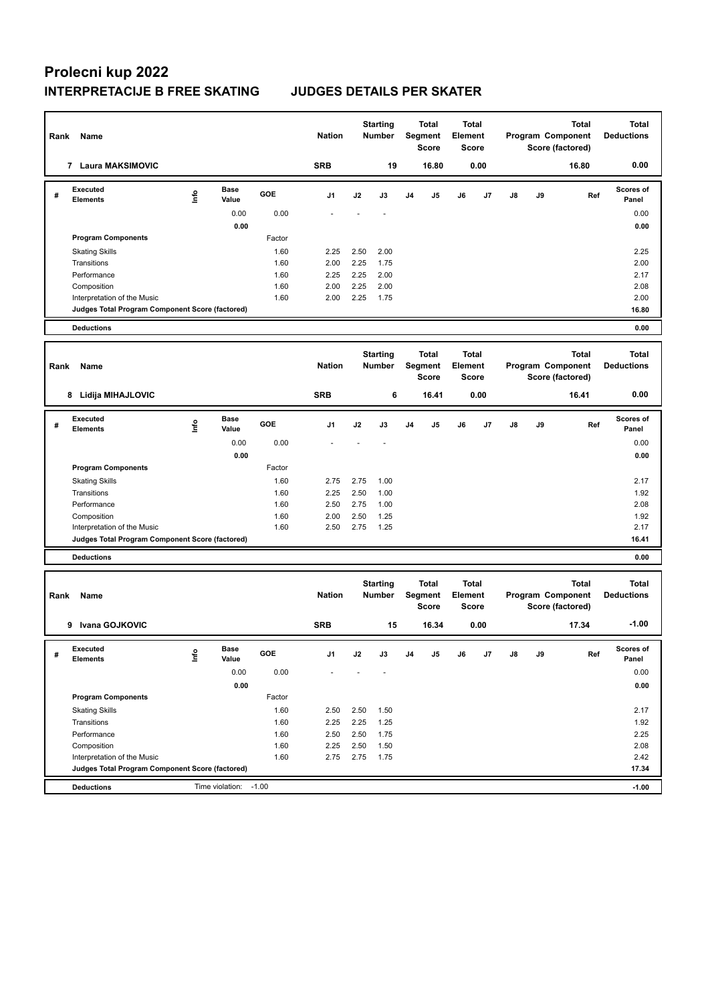| Rank | Name                                                                           |             |                       | <b>Nation</b> |               | <b>Starting</b><br>Number |                                  | <b>Total</b><br>Segment<br><b>Score</b> | <b>Total</b><br><b>Element</b><br><b>Score</b> |                         |                       |    | <b>Total</b><br>Program Component<br>Score (factored) | <b>Total</b><br><b>Deductions</b>                     |                                   |
|------|--------------------------------------------------------------------------------|-------------|-----------------------|---------------|---------------|---------------------------|----------------------------------|-----------------------------------------|------------------------------------------------|-------------------------|-----------------------|----|-------------------------------------------------------|-------------------------------------------------------|-----------------------------------|
|      | 7 Laura MAKSIMOVIC                                                             |             |                       |               | <b>SRB</b>    |                           | 19                               |                                         | 16.80                                          |                         | 0.00                  |    |                                                       | 16.80                                                 | 0.00                              |
| #    | Executed<br><b>Elements</b>                                                    | <u>Info</u> | <b>Base</b><br>Value  | GOE           | J1            | J2                        | J3                               | J <sub>4</sub>                          | J5                                             | J6                      | J7                    | J8 | J9                                                    | Ref                                                   | Scores of<br>Panel                |
|      |                                                                                |             | 0.00                  | 0.00          |               |                           |                                  |                                         |                                                |                         |                       |    |                                                       |                                                       | 0.00                              |
|      |                                                                                |             | 0.00                  |               |               |                           |                                  |                                         |                                                |                         |                       |    |                                                       |                                                       | 0.00                              |
|      | <b>Program Components</b>                                                      |             |                       | Factor        |               |                           |                                  |                                         |                                                |                         |                       |    |                                                       |                                                       |                                   |
|      | <b>Skating Skills</b>                                                          |             |                       | 1.60          | 2.25          | 2.50                      | 2.00                             |                                         |                                                |                         |                       |    |                                                       |                                                       | 2.25                              |
|      | Transitions                                                                    |             |                       | 1.60          | 2.00          | 2.25                      | 1.75                             |                                         |                                                |                         |                       |    |                                                       |                                                       | 2.00                              |
|      | Performance                                                                    |             |                       | 1.60          | 2.25          | 2.25                      | 2.00                             |                                         |                                                |                         |                       |    |                                                       |                                                       | 2.17                              |
|      | Composition                                                                    |             |                       | 1.60          | 2.00          | 2.25                      | 2.00                             |                                         |                                                |                         |                       |    |                                                       |                                                       | 2.08                              |
|      | Interpretation of the Music<br>Judges Total Program Component Score (factored) |             |                       | 1.60          | 2.00          | 2.25                      | 1.75                             |                                         |                                                |                         |                       |    |                                                       |                                                       | 2.00<br>16.80                     |
|      |                                                                                |             |                       |               |               |                           |                                  |                                         |                                                |                         |                       |    |                                                       |                                                       |                                   |
|      | <b>Deductions</b>                                                              |             |                       |               |               |                           |                                  |                                         |                                                |                         |                       |    |                                                       |                                                       | 0.00                              |
| Rank | Name                                                                           |             |                       |               | <b>Nation</b> |                           | <b>Starting</b><br><b>Number</b> |                                         | <b>Total</b><br>Segment<br>Score               | <b>Total</b><br>Element | <b>Score</b>          |    |                                                       | <b>Total</b><br>Program Component<br>Score (factored) | <b>Total</b><br><b>Deductions</b> |
|      | 8 Lidija MIHAJLOVIC                                                            |             |                       |               | <b>SRB</b>    |                           | 6                                |                                         | 16.41                                          |                         | 0.00                  |    |                                                       | 16.41                                                 | 0.00                              |
| #    | <b>Executed</b><br><b>Elements</b>                                             | ١nf٥        | <b>Base</b><br>Value  | GOE           | J1            | J2                        | J3                               | J <sub>4</sub>                          | J5                                             | J6                      | J7                    | J8 | J9                                                    | Ref                                                   | <b>Scores of</b><br>Panel         |
|      |                                                                                |             | 0.00                  | 0.00          |               |                           |                                  |                                         |                                                |                         |                       |    |                                                       |                                                       | 0.00                              |
|      |                                                                                |             | 0.00                  |               |               |                           |                                  |                                         |                                                |                         |                       |    |                                                       |                                                       | 0.00                              |
|      | <b>Program Components</b>                                                      |             |                       | Factor        |               |                           |                                  |                                         |                                                |                         |                       |    |                                                       |                                                       |                                   |
|      | <b>Skating Skills</b>                                                          |             |                       | 1.60          | 2.75          | 2.75                      | 1.00                             |                                         |                                                |                         |                       |    |                                                       |                                                       | 2.17                              |
|      | Transitions                                                                    |             |                       | 1.60          | 2.25          | 2.50                      | 1.00                             |                                         |                                                |                         |                       |    |                                                       |                                                       | 1.92                              |
|      | Performance                                                                    |             |                       | 1.60          | 2.50          | 2.75                      | 1.00                             |                                         |                                                |                         |                       |    |                                                       |                                                       | 2.08                              |
|      | Composition                                                                    |             |                       | 1.60          | 2.00          | 2.50                      | 1.25                             |                                         |                                                |                         |                       |    |                                                       |                                                       | 1.92                              |
|      | Interpretation of the Music                                                    |             |                       | 1.60          | 2.50          | 2.75                      | 1.25                             |                                         |                                                |                         |                       |    |                                                       |                                                       | 2.17                              |
|      | Judges Total Program Component Score (factored)                                |             |                       |               |               |                           |                                  |                                         |                                                |                         |                       |    |                                                       |                                                       | 16.41                             |
|      | <b>Deductions</b>                                                              |             |                       |               |               |                           |                                  |                                         |                                                |                         |                       |    |                                                       |                                                       | 0.00                              |
| Rank | Name                                                                           |             |                       |               | <b>Nation</b> |                           | <b>Starting</b><br><b>Number</b> |                                         | <b>Total</b><br>Segment<br>Score               | Element                 | Total<br><b>Score</b> |    |                                                       | <b>Total</b><br>Program Component<br>Score (factored) | <b>Total</b><br><b>Deductions</b> |
|      | Ivana GOJKOVIC<br>9                                                            |             |                       |               | <b>SRB</b>    |                           | 15                               |                                         | 16.34                                          |                         | 0.00                  |    |                                                       | 17.34                                                 | $-1.00$                           |
| #    | Executed<br><b>Elements</b>                                                    | ١nf٥        | Base<br>Value         | GOE           | J1            | J2                        | J3                               | J4                                      | J5                                             | J6                      | J7                    | J8 | J9                                                    | Ref                                                   | Scores of<br>Panel                |
|      |                                                                                |             | 0.00                  | 0.00          |               |                           |                                  |                                         |                                                |                         |                       |    |                                                       |                                                       | 0.00                              |
|      |                                                                                |             | 0.00                  |               |               |                           |                                  |                                         |                                                |                         |                       |    |                                                       |                                                       | 0.00                              |
|      | <b>Program Components</b>                                                      |             |                       | Factor        |               |                           |                                  |                                         |                                                |                         |                       |    |                                                       |                                                       |                                   |
|      | <b>Skating Skills</b>                                                          |             |                       | 1.60          | 2.50          | 2.50                      | 1.50                             |                                         |                                                |                         |                       |    |                                                       |                                                       | 2.17                              |
|      | Transitions                                                                    |             |                       | 1.60          | 2.25          | 2.25                      | 1.25                             |                                         |                                                |                         |                       |    |                                                       |                                                       | 1.92                              |
|      | Performance                                                                    |             |                       | 1.60          | 2.50          | 2.50                      | 1.75                             |                                         |                                                |                         |                       |    |                                                       |                                                       | 2.25                              |
|      | Composition                                                                    |             |                       | 1.60          | 2.25          | 2.50                      | 1.50                             |                                         |                                                |                         |                       |    |                                                       |                                                       | 2.08                              |
|      | Interpretation of the Music                                                    |             |                       | 1.60          | 2.75          | 2.75                      | 1.75                             |                                         |                                                |                         |                       |    |                                                       |                                                       | 2.42                              |
|      | Judges Total Program Component Score (factored)                                |             |                       |               |               |                           |                                  |                                         |                                                |                         |                       |    |                                                       |                                                       | 17.34                             |
|      | <b>Deductions</b>                                                              |             | Time violation: -1.00 |               |               |                           |                                  |                                         |                                                |                         |                       |    |                                                       |                                                       | $-1.00$                           |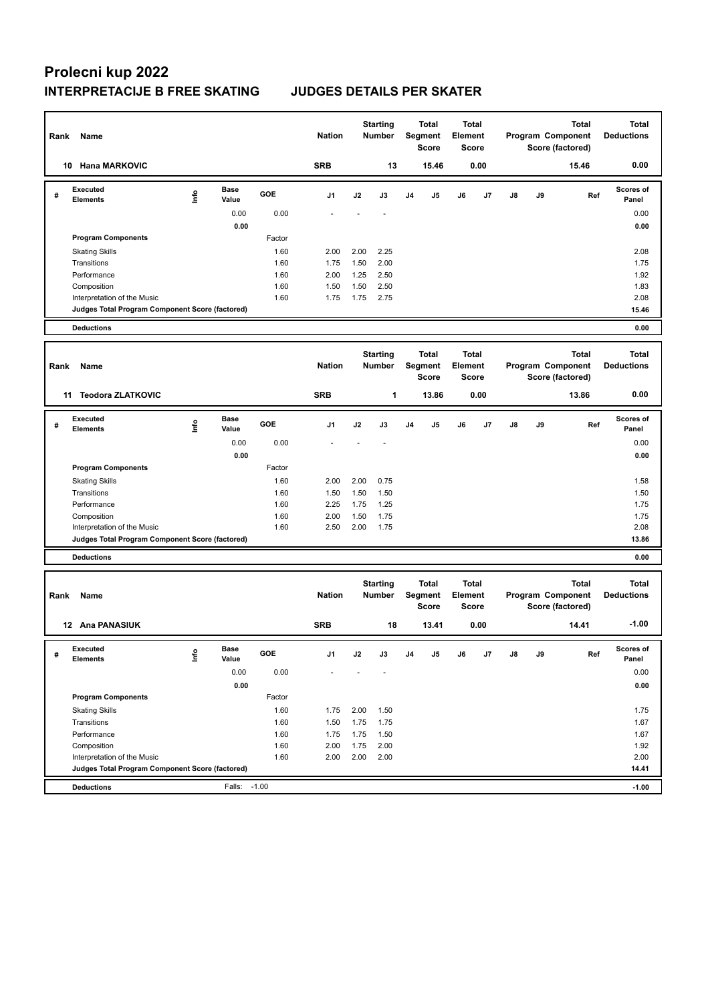| Rank | Name                                            |      |                      |            | <b>Nation</b> |      | <b>Starting</b><br>Number        |                | <b>Total</b><br>Segment<br><b>Score</b> | Element | <b>Total</b><br>Score        |    |    | <b>Total</b><br>Program Component<br>Score (factored) | <b>Total</b><br><b>Deductions</b> |
|------|-------------------------------------------------|------|----------------------|------------|---------------|------|----------------------------------|----------------|-----------------------------------------|---------|------------------------------|----|----|-------------------------------------------------------|-----------------------------------|
| 10   | <b>Hana MARKOVIC</b>                            |      |                      |            | <b>SRB</b>    |      | 13                               |                | 15.46                                   |         | 0.00                         |    |    | 15.46                                                 | 0.00                              |
| #    | <b>Executed</b><br>Elements                     | lnfo | <b>Base</b><br>Value | GOE        | J1            | J2   | J3                               | J <sub>4</sub> | J5                                      | J6      | J7                           | J8 | J9 | Ref                                                   | <b>Scores of</b><br>Panel         |
|      |                                                 |      | 0.00                 | 0.00       |               |      |                                  |                |                                         |         |                              |    |    |                                                       | 0.00                              |
|      |                                                 |      | 0.00                 |            |               |      |                                  |                |                                         |         |                              |    |    |                                                       | 0.00                              |
|      | <b>Program Components</b>                       |      |                      | Factor     |               |      |                                  |                |                                         |         |                              |    |    |                                                       |                                   |
|      | <b>Skating Skills</b>                           |      |                      | 1.60       | 2.00          | 2.00 | 2.25                             |                |                                         |         |                              |    |    |                                                       | 2.08                              |
|      | Transitions                                     |      |                      | 1.60       | 1.75          | 1.50 | 2.00                             |                |                                         |         |                              |    |    |                                                       | 1.75                              |
|      | Performance                                     |      |                      | 1.60       | 2.00          | 1.25 | 2.50                             |                |                                         |         |                              |    |    |                                                       | 1.92                              |
|      | Composition                                     |      |                      | 1.60       | 1.50          | 1.50 | 2.50                             |                |                                         |         |                              |    |    |                                                       | 1.83                              |
|      | Interpretation of the Music                     |      |                      | 1.60       | 1.75          | 1.75 | 2.75                             |                |                                         |         |                              |    |    |                                                       | 2.08<br>15.46                     |
|      | Judges Total Program Component Score (factored) |      |                      |            |               |      |                                  |                |                                         |         |                              |    |    |                                                       |                                   |
|      | <b>Deductions</b>                               |      |                      |            |               |      |                                  |                |                                         |         |                              |    |    |                                                       | 0.00                              |
| Rank | Name                                            |      |                      |            | <b>Nation</b> |      | <b>Starting</b><br><b>Number</b> |                | <b>Total</b><br>Segment<br>Score        | Element | <b>Total</b><br><b>Score</b> |    |    | <b>Total</b><br>Program Component<br>Score (factored) | <b>Total</b><br><b>Deductions</b> |
|      | <b>Teodora ZLATKOVIC</b><br>11                  |      |                      |            | <b>SRB</b>    |      | 1                                |                | 13.86                                   |         | 0.00                         |    |    | 13.86                                                 | 0.00                              |
| #    | Executed<br><b>Elements</b>                     | ۴ů   | <b>Base</b><br>Value | <b>GOE</b> | J1            | J2   | J3                               | J <sub>4</sub> | J5                                      | J6      | J7                           | J8 | J9 | Ref                                                   | <b>Scores of</b><br>Panel         |
|      |                                                 |      | 0.00                 | 0.00       |               |      |                                  |                |                                         |         |                              |    |    |                                                       | 0.00                              |
|      |                                                 |      | 0.00                 |            |               |      |                                  |                |                                         |         |                              |    |    |                                                       | 0.00                              |
|      | <b>Program Components</b>                       |      |                      | Factor     |               |      |                                  |                |                                         |         |                              |    |    |                                                       |                                   |
|      | <b>Skating Skills</b>                           |      |                      | 1.60       | 2.00          | 2.00 | 0.75                             |                |                                         |         |                              |    |    |                                                       | 1.58                              |
|      | Transitions                                     |      |                      | 1.60       | 1.50          | 1.50 | 1.50                             |                |                                         |         |                              |    |    |                                                       | 1.50                              |
|      | Performance                                     |      |                      | 1.60       | 2.25          | 1.75 | 1.25                             |                |                                         |         |                              |    |    |                                                       | 1.75                              |
|      | Composition                                     |      |                      | 1.60       | 2.00          | 1.50 | 1.75                             |                |                                         |         |                              |    |    |                                                       | 1.75                              |
|      | Interpretation of the Music                     |      |                      | 1.60       | 2.50          | 2.00 | 1.75                             |                |                                         |         |                              |    |    |                                                       | 2.08                              |
|      | Judges Total Program Component Score (factored) |      |                      |            |               |      |                                  |                |                                         |         |                              |    |    |                                                       | 13.86                             |
|      | <b>Deductions</b>                               |      |                      |            |               |      |                                  |                |                                         |         |                              |    |    |                                                       | 0.00                              |
| Rank | Name                                            |      |                      |            | <b>Nation</b> |      | <b>Starting</b><br><b>Number</b> |                | <b>Total</b><br>Segment<br>Score        | Element | <b>Total</b><br><b>Score</b> |    |    | <b>Total</b><br>Program Component<br>Score (factored) | <b>Total</b><br><b>Deductions</b> |
|      | 12 Ana PANASIUK                                 |      |                      |            | <b>SRB</b>    |      | 18                               |                | 13.41                                   |         | 0.00                         |    |    | 14.41                                                 | $-1.00$                           |
| #    | Executed<br><b>Elements</b>                     | lnfo | Base<br>Value        | GOE        | J1            | J2   | J3                               | J4             | J5                                      | J6      | J7                           | J8 | J9 | Ref                                                   | <b>Scores of</b><br>Panel         |
|      |                                                 |      | 0.00                 | 0.00       |               |      |                                  |                |                                         |         |                              |    |    |                                                       | 0.00                              |
|      |                                                 |      | 0.00                 |            |               |      |                                  |                |                                         |         |                              |    |    |                                                       | 0.00                              |
|      | <b>Program Components</b>                       |      |                      | Factor     |               |      |                                  |                |                                         |         |                              |    |    |                                                       |                                   |
|      | <b>Skating Skills</b>                           |      |                      | 1.60       | 1.75          | 2.00 | 1.50                             |                |                                         |         |                              |    |    |                                                       | 1.75                              |
|      | Transitions                                     |      |                      | 1.60       | 1.50          | 1.75 | 1.75                             |                |                                         |         |                              |    |    |                                                       | 1.67                              |
|      | Performance                                     |      |                      | 1.60       | 1.75          | 1.75 | 1.50                             |                |                                         |         |                              |    |    |                                                       | 1.67                              |
|      | Composition                                     |      |                      | 1.60       | 2.00          | 1.75 | 2.00                             |                |                                         |         |                              |    |    |                                                       | 1.92                              |
|      | Interpretation of the Music                     |      |                      | 1.60       | 2.00          | 2.00 | 2.00                             |                |                                         |         |                              |    |    |                                                       | 2.00                              |
|      | Judges Total Program Component Score (factored) |      |                      |            |               |      |                                  |                |                                         |         |                              |    |    |                                                       | 14.41                             |
|      | <b>Deductions</b>                               |      | Falls: -1.00         |            |               |      |                                  |                |                                         |         |                              |    |    |                                                       | $-1.00$                           |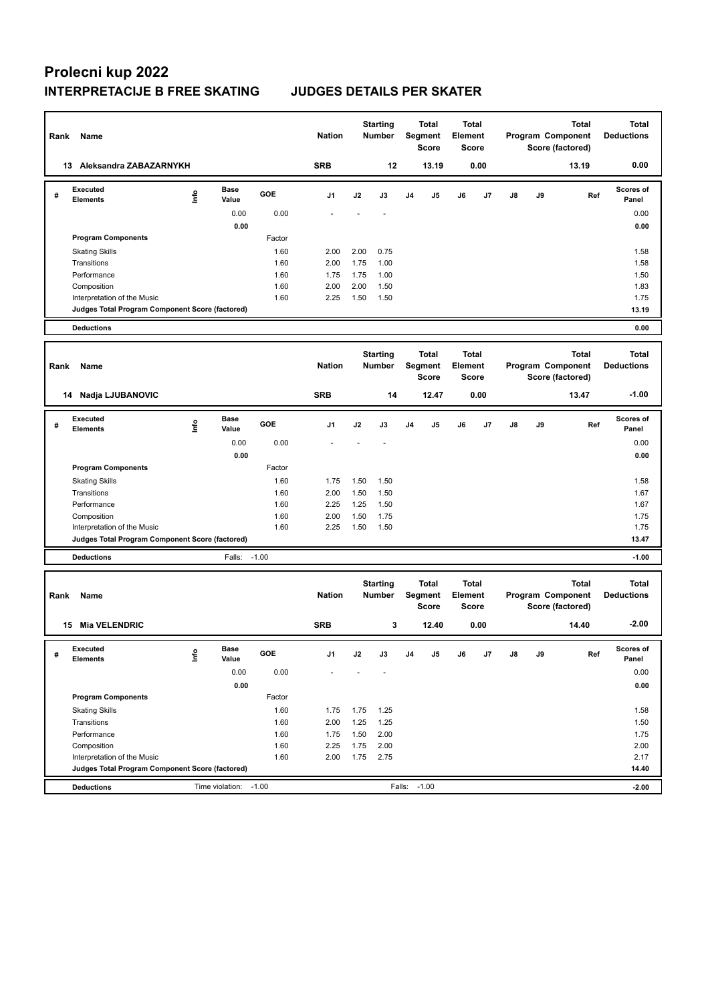| Rank | Name                                            |      | <b>Nation</b>         |         | <b>Starting</b><br><b>Number</b> |      | Total<br>Segment<br><b>Score</b> | Total<br>Element<br><b>Score</b> |                                  |                                  |      | <b>Total</b><br>Program Component<br>Score (factored) | <b>Total</b><br><b>Deductions</b> |                                                       |                                   |
|------|-------------------------------------------------|------|-----------------------|---------|----------------------------------|------|----------------------------------|----------------------------------|----------------------------------|----------------------------------|------|-------------------------------------------------------|-----------------------------------|-------------------------------------------------------|-----------------------------------|
|      | 13 Aleksandra ZABAZARNYKH                       |      |                       |         | <b>SRB</b>                       |      | 12                               |                                  | 13.19                            |                                  | 0.00 |                                                       |                                   | 13.19                                                 | 0.00                              |
| #    | <b>Executed</b><br><b>Elements</b>              | lnfo | <b>Base</b><br>Value  | GOE     | J1                               | J2   | J3                               | J4                               | J5                               | J6                               | J7   | J8                                                    | J9                                | Ref                                                   | Scores of<br>Panel                |
|      |                                                 |      | 0.00                  | 0.00    |                                  |      |                                  |                                  |                                  |                                  |      |                                                       |                                   |                                                       | 0.00                              |
|      |                                                 |      | 0.00                  |         |                                  |      |                                  |                                  |                                  |                                  |      |                                                       |                                   |                                                       | 0.00                              |
|      | <b>Program Components</b>                       |      |                       | Factor  |                                  |      |                                  |                                  |                                  |                                  |      |                                                       |                                   |                                                       |                                   |
|      | <b>Skating Skills</b>                           |      |                       | 1.60    | 2.00                             | 2.00 | 0.75                             |                                  |                                  |                                  |      |                                                       |                                   |                                                       | 1.58                              |
|      | Transitions                                     |      |                       | 1.60    | 2.00                             | 1.75 | 1.00                             |                                  |                                  |                                  |      |                                                       |                                   |                                                       | 1.58                              |
|      | Performance                                     |      |                       | 1.60    | 1.75                             | 1.75 | 1.00                             |                                  |                                  |                                  |      |                                                       |                                   |                                                       | 1.50                              |
|      | Composition                                     |      |                       | 1.60    | 2.00                             | 2.00 | 1.50                             |                                  |                                  |                                  |      |                                                       |                                   |                                                       | 1.83                              |
|      | Interpretation of the Music                     |      |                       | 1.60    | 2.25                             | 1.50 | 1.50                             |                                  |                                  |                                  |      |                                                       |                                   |                                                       | 1.75                              |
|      | Judges Total Program Component Score (factored) |      |                       |         |                                  |      |                                  |                                  |                                  |                                  |      |                                                       |                                   |                                                       | 13.19                             |
|      | <b>Deductions</b>                               |      |                       |         |                                  |      |                                  |                                  |                                  |                                  |      |                                                       |                                   |                                                       | 0.00                              |
| Rank | Name                                            |      |                       |         | <b>Nation</b>                    |      | <b>Starting</b><br><b>Number</b> |                                  | Total<br>Segment<br><b>Score</b> | Total<br>Element<br><b>Score</b> |      |                                                       |                                   | <b>Total</b><br>Program Component<br>Score (factored) | <b>Total</b><br><b>Deductions</b> |
|      | 14 Nadja LJUBANOVIC                             |      |                       |         | <b>SRB</b>                       |      | 14                               |                                  | 12.47                            |                                  | 0.00 |                                                       |                                   | 13.47                                                 | $-1.00$                           |
| #    | <b>Executed</b><br><b>Elements</b>              | ١nf٥ | Base<br>Value         | GOE     | J1                               | J2   | J3                               | J <sub>4</sub>                   | J5                               | J6                               | J7   | J8                                                    | J9                                | Ref                                                   | Scores of<br>Panel                |
|      |                                                 |      | 0.00                  | 0.00    |                                  |      |                                  |                                  |                                  |                                  |      |                                                       |                                   |                                                       | 0.00                              |
|      |                                                 |      | 0.00                  |         |                                  |      |                                  |                                  |                                  |                                  |      |                                                       |                                   |                                                       | 0.00                              |
|      | <b>Program Components</b>                       |      |                       | Factor  |                                  |      |                                  |                                  |                                  |                                  |      |                                                       |                                   |                                                       |                                   |
|      | <b>Skating Skills</b>                           |      |                       | 1.60    | 1.75                             | 1.50 | 1.50                             |                                  |                                  |                                  |      |                                                       |                                   |                                                       | 1.58                              |
|      | Transitions                                     |      |                       | 1.60    | 2.00                             | 1.50 | 1.50                             |                                  |                                  |                                  |      |                                                       |                                   |                                                       | 1.67                              |
|      | Performance                                     |      |                       | 1.60    | 2.25                             | 1.25 | 1.50                             |                                  |                                  |                                  |      |                                                       |                                   |                                                       | 1.67                              |
|      | Composition                                     |      |                       | 1.60    | 2.00                             | 1.50 | 1.75                             |                                  |                                  |                                  |      |                                                       |                                   |                                                       | 1.75                              |
|      | Interpretation of the Music                     |      |                       | 1.60    | 2.25                             | 1.50 | 1.50                             |                                  |                                  |                                  |      |                                                       |                                   |                                                       | 1.75                              |
|      | Judges Total Program Component Score (factored) |      |                       |         |                                  |      |                                  |                                  |                                  |                                  |      |                                                       |                                   |                                                       | 13.47                             |
|      | <b>Deductions</b>                               |      | Falls:                | $-1.00$ |                                  |      |                                  |                                  |                                  |                                  |      |                                                       |                                   |                                                       | $-1.00$                           |
| Rank | Name                                            |      |                       |         | <b>Nation</b>                    |      | <b>Starting</b><br><b>Number</b> |                                  | Total<br>Segment<br><b>Score</b> | Total<br>Element<br><b>Score</b> |      |                                                       |                                   | <b>Total</b><br>Program Component<br>Score (factored) | <b>Total</b><br><b>Deductions</b> |
|      | <b>Mia VELENDRIC</b><br>15                      |      |                       |         | <b>SRB</b>                       |      | 3                                |                                  | 12.40                            |                                  | 0.00 |                                                       |                                   | 14.40                                                 | $-2.00$                           |
| #    | Executed<br>Elements                            | ١nf٥ | Base<br>Value         | GOE     | J1                               | J2   | J3                               | J4                               | J5                               | J6                               | J7   | J8                                                    | J9                                | Ref                                                   | Scores of<br>Panel                |
|      |                                                 |      | 0.00                  | 0.00    |                                  |      |                                  |                                  |                                  |                                  |      |                                                       |                                   |                                                       | 0.00                              |
|      |                                                 |      | 0.00                  |         |                                  |      |                                  |                                  |                                  |                                  |      |                                                       |                                   |                                                       | 0.00                              |
|      | <b>Program Components</b>                       |      |                       | Factor  |                                  |      |                                  |                                  |                                  |                                  |      |                                                       |                                   |                                                       |                                   |
|      | <b>Skating Skills</b>                           |      |                       | 1.60    | 1.75                             | 1.75 | 1.25                             |                                  |                                  |                                  |      |                                                       |                                   |                                                       | 1.58                              |
|      | Transitions                                     |      |                       | 1.60    | 2.00                             | 1.25 | 1.25                             |                                  |                                  |                                  |      |                                                       |                                   |                                                       | 1.50                              |
|      | Performance                                     |      |                       | 1.60    | 1.75                             | 1.50 | 2.00                             |                                  |                                  |                                  |      |                                                       |                                   |                                                       | 1.75                              |
|      | Composition                                     |      |                       | 1.60    | 2.25                             | 1.75 | 2.00                             |                                  |                                  |                                  |      |                                                       |                                   |                                                       | 2.00                              |
|      | Interpretation of the Music                     |      |                       | 1.60    | 2.00                             | 1.75 | 2.75                             |                                  |                                  |                                  |      |                                                       |                                   |                                                       | 2.17                              |
|      | Judges Total Program Component Score (factored) |      |                       |         |                                  |      |                                  |                                  |                                  |                                  |      |                                                       |                                   |                                                       | 14.40                             |
|      | <b>Deductions</b>                               |      | Time violation: -1.00 |         |                                  |      |                                  | Falls: -1.00                     |                                  |                                  |      |                                                       |                                   |                                                       | $-2.00$                           |